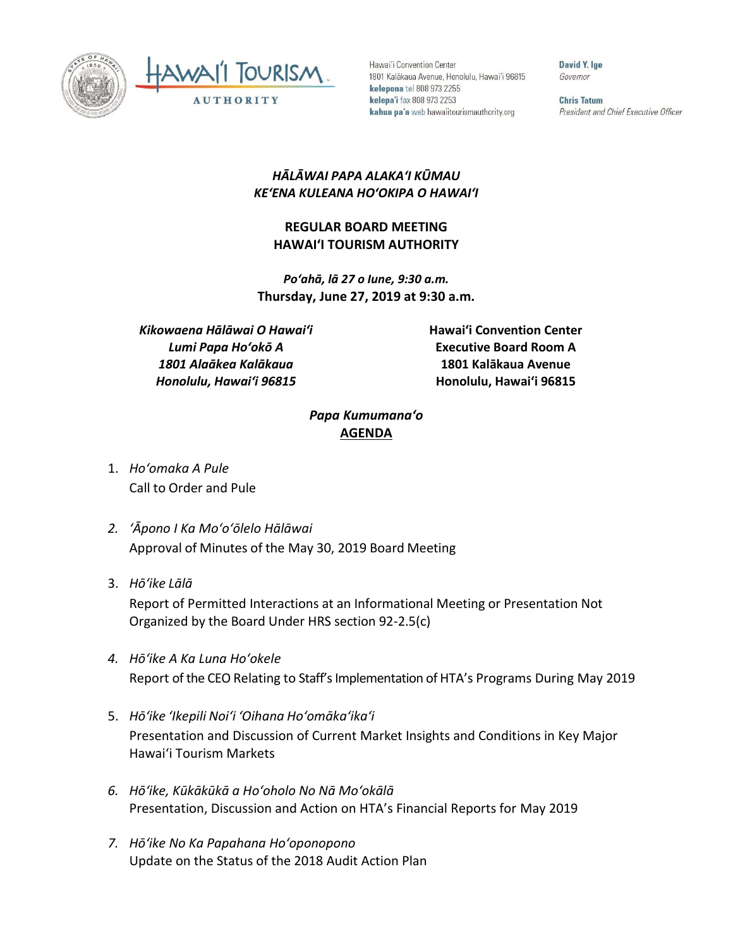



Hawai'i Convention Center 1801 Kalākaua Avenue, Honolulu, Hawai'i 96815 kelepona tel 808 973 2255 kelepa'i fax 808 973 2253 kahua pa'a web hawaiitourismauthority.org

David Y. Ige Governor

**Chris Tatum** President and Chief Executive Officer

## *HĀLĀWAI PAPA ALAKAʻI KŪMAU KEʻENA KULEANA HOʻOKIPA O HAWAIʻI*

## **REGULAR BOARD MEETING HAWAI'I TOURISM AUTHORITY**

*Poʻahā, lā 27 o Iune, 9:30 a.m.* **Thursday, June 27, 2019 at 9:30 a.m.**

*Kikowaena Hālāwai O Hawaiʻi Lumi Papa Hoʻokō A 1801 Alaākea Kalākaua Honolulu, Hawaiʻi 96815*

**Hawai'i Convention Center Executive Board Room A 1801 Kalākaua Avenue Honolulu, Hawai'i 96815**

## *Papa Kumumanaʻo* **AGENDA**

- 1. *Ho'omaka A Pule* Call to Order and Pule
- *2. ʻĀpono I Ka Moʻoʻōlelo Hālāwai* Approval of Minutes of the May 30, 2019 Board Meeting
- 3. *Hō'ike Lālā*

Report of Permitted Interactions at an Informational Meeting or Presentation Not Organized by the Board Under HRS section 92-2.5(c)

- *4. Hōʻike A Ka Luna Hoʻokele* Report of the CEO Relating to Staff's Implementation of HTA's Programs During May 2019
- 5. *Hō'ike 'Ikepili Noi'i 'Oihana Ho'omāka'ika'i* Presentation and Discussion of Current Market Insights and Conditions in Key Major Hawai'i Tourism Markets
- *6. Hōʻike, Kūkākūkā a Hoʻoholo No Nā Moʻokālā* Presentation, Discussion and Action on HTA's Financial Reports for May 2019
- *7. Hōʻike No Ka Papahana Hoʻoponopono* Update on the Status of the 2018 Audit Action Plan